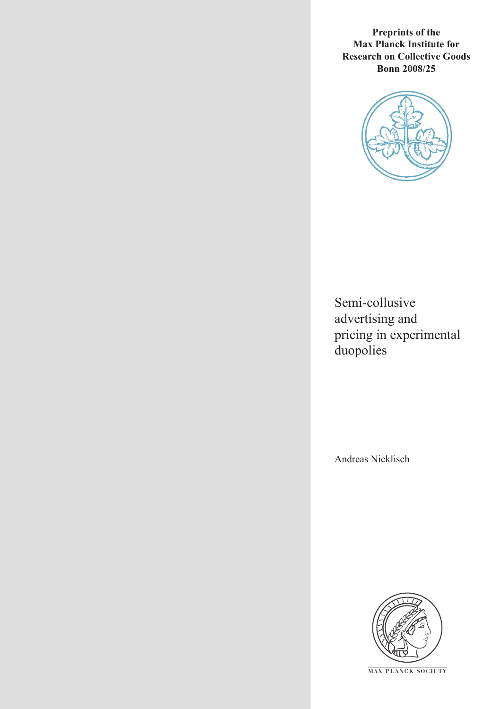**Preprints of the Max Planck Institute for Research on Collective Goods Bonn 2008/25**



Semi-collusive advertising and pricing in experimental duopolies

Andreas Nicklisch



**M AX P L A N C K S O C I E T Y**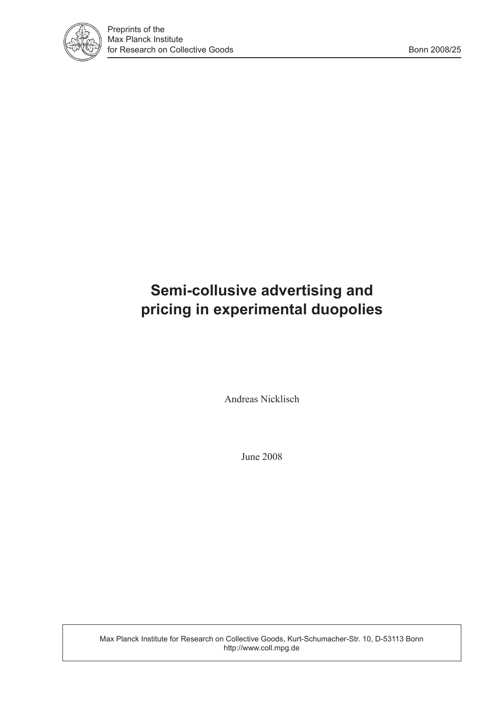

# **Semi-collusive advertising and pricing in experimental duopolies**

Andreas Nicklisch

June 2008

Max Planck Institute for Research on Collective Goods, Kurt-Schumacher-Str. 10, D-53113 Bonn http://www.coll.mpg.de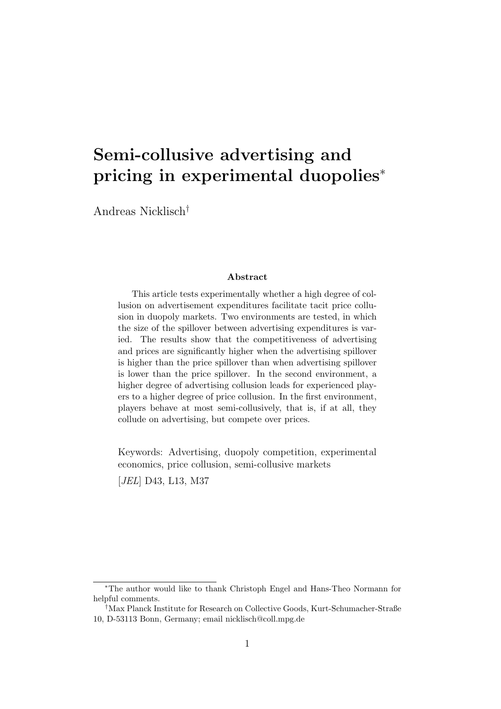# Semi-collusive advertising and pricing in experimental duopolies<sup>∗</sup>

Andreas Nicklisch†

#### Abstract

This article tests experimentally whether a high degree of collusion on advertisement expenditures facilitate tacit price collusion in duopoly markets. Two environments are tested, in which the size of the spillover between advertising expenditures is varied. The results show that the competitiveness of advertising and prices are significantly higher when the advertising spillover is higher than the price spillover than when advertising spillover is lower than the price spillover. In the second environment, a higher degree of advertising collusion leads for experienced players to a higher degree of price collusion. In the first environment, players behave at most semi-collusively, that is, if at all, they collude on advertising, but compete over prices.

Keywords: Advertising, duopoly competition, experimental economics, price collusion, semi-collusive markets [JEL] D43, L13, M37

<sup>∗</sup>The author would like to thank Christoph Engel and Hans-Theo Normann for helpful comments.

<sup>†</sup>Max Planck Institute for Research on Collective Goods, Kurt-Schumacher-Straße 10, D-53113 Bonn, Germany; email nicklisch@coll.mpg.de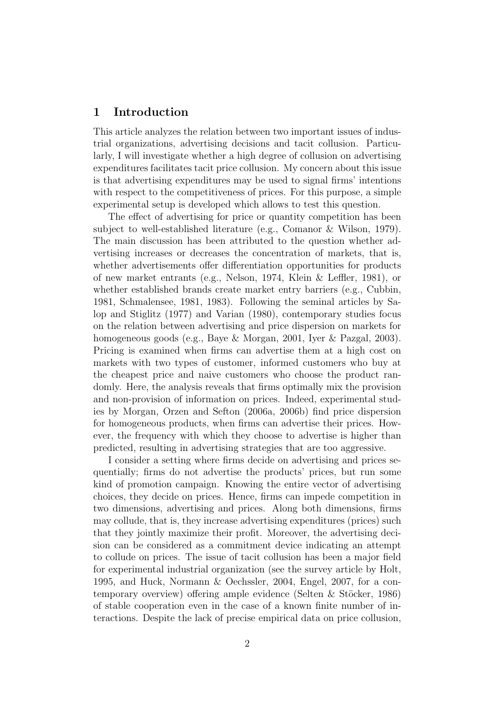### 1 Introduction

This article analyzes the relation between two important issues of industrial organizations, advertising decisions and tacit collusion. Particularly, I will investigate whether a high degree of collusion on advertising expenditures facilitates tacit price collusion. My concern about this issue is that advertising expenditures may be used to signal firms' intentions with respect to the competitiveness of prices. For this purpose, a simple experimental setup is developed which allows to test this question.

The effect of advertising for price or quantity competition has been subject to well-established literature (e.g., Comanor & Wilson, 1979). The main discussion has been attributed to the question whether advertising increases or decreases the concentration of markets, that is, whether advertisements offer differentiation opportunities for products of new market entrants (e.g., Nelson, 1974, Klein & Leffler, 1981), or whether established brands create market entry barriers (e.g., Cubbin, 1981, Schmalensee, 1981, 1983). Following the seminal articles by Salop and Stiglitz (1977) and Varian (1980), contemporary studies focus on the relation between advertising and price dispersion on markets for homogeneous goods (e.g., Baye & Morgan, 2001, Iyer & Pazgal, 2003). Pricing is examined when firms can advertise them at a high cost on markets with two types of customer, informed customers who buy at the cheapest price and naive customers who choose the product randomly. Here, the analysis reveals that firms optimally mix the provision and non-provision of information on prices. Indeed, experimental studies by Morgan, Orzen and Sefton (2006a, 2006b) find price dispersion for homogeneous products, when firms can advertise their prices. However, the frequency with which they choose to advertise is higher than predicted, resulting in advertising strategies that are too aggressive.

I consider a setting where firms decide on advertising and prices sequentially; firms do not advertise the products' prices, but run some kind of promotion campaign. Knowing the entire vector of advertising choices, they decide on prices. Hence, firms can impede competition in two dimensions, advertising and prices. Along both dimensions, firms may collude, that is, they increase advertising expenditures (prices) such that they jointly maximize their profit. Moreover, the advertising decision can be considered as a commitment device indicating an attempt to collude on prices. The issue of tacit collusion has been a major field for experimental industrial organization (see the survey article by Holt, 1995, and Huck, Normann & Oechssler, 2004, Engel, 2007, for a contemporary overview) offering ample evidence (Selten & Stöcker, 1986) of stable cooperation even in the case of a known finite number of interactions. Despite the lack of precise empirical data on price collusion,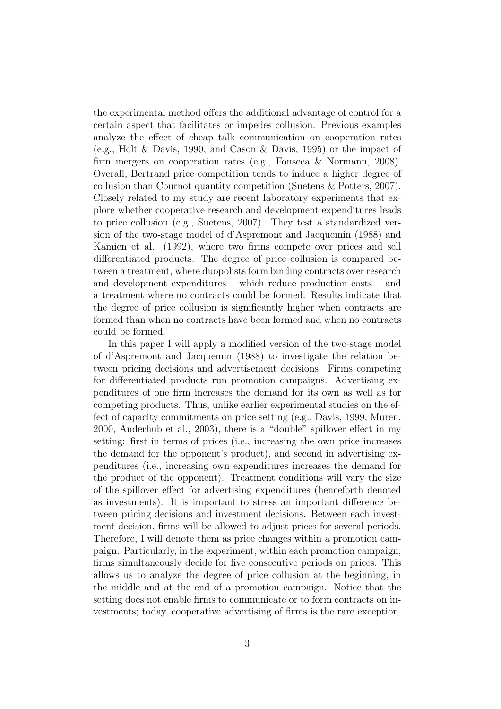the experimental method offers the additional advantage of control for a certain aspect that facilitates or impedes collusion. Previous examples analyze the effect of cheap talk communication on cooperation rates (e.g., Holt & Davis, 1990, and Cason & Davis, 1995) or the impact of firm mergers on cooperation rates (e.g., Fonseca & Normann, 2008). Overall, Bertrand price competition tends to induce a higher degree of collusion than Cournot quantity competition (Suetens & Potters, 2007). Closely related to my study are recent laboratory experiments that explore whether cooperative research and development expenditures leads to price collusion (e.g., Suetens, 2007). They test a standardized version of the two-stage model of d'Aspremont and Jacquemin (1988) and Kamien et al. (1992), where two firms compete over prices and sell differentiated products. The degree of price collusion is compared between a treatment, where duopolists form binding contracts over research and development expenditures – which reduce production costs – and a treatment where no contracts could be formed. Results indicate that the degree of price collusion is significantly higher when contracts are formed than when no contracts have been formed and when no contracts could be formed.

In this paper I will apply a modified version of the two-stage model of d'Aspremont and Jacquemin (1988) to investigate the relation between pricing decisions and advertisement decisions. Firms competing for differentiated products run promotion campaigns. Advertising expenditures of one firm increases the demand for its own as well as for competing products. Thus, unlike earlier experimental studies on the effect of capacity commitments on price setting (e.g., Davis, 1999, Muren, 2000, Anderhub et al., 2003), there is a "double" spillover effect in my setting: first in terms of prices (i.e., increasing the own price increases the demand for the opponent's product), and second in advertising expenditures (i.e., increasing own expenditures increases the demand for the product of the opponent). Treatment conditions will vary the size of the spillover effect for advertising expenditures (henceforth denoted as investments). It is important to stress an important difference between pricing decisions and investment decisions. Between each investment decision, firms will be allowed to adjust prices for several periods. Therefore, I will denote them as price changes within a promotion campaign. Particularly, in the experiment, within each promotion campaign, firms simultaneously decide for five consecutive periods on prices. This allows us to analyze the degree of price collusion at the beginning, in the middle and at the end of a promotion campaign. Notice that the setting does not enable firms to communicate or to form contracts on investments; today, cooperative advertising of firms is the rare exception.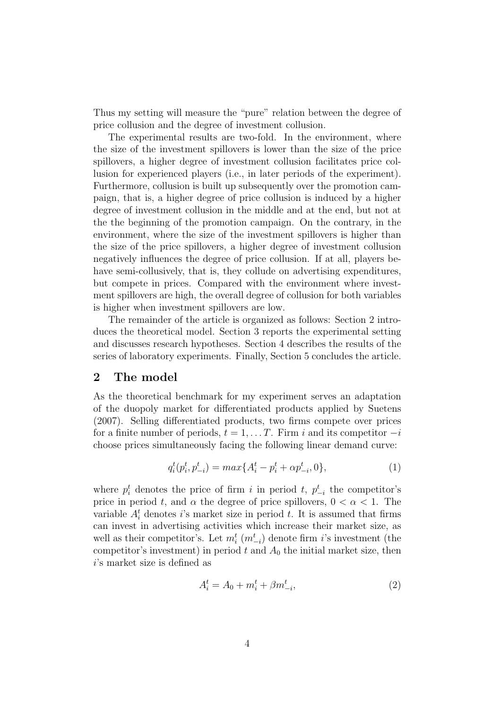Thus my setting will measure the "pure" relation between the degree of price collusion and the degree of investment collusion.

The experimental results are two-fold. In the environment, where the size of the investment spillovers is lower than the size of the price spillovers, a higher degree of investment collusion facilitates price collusion for experienced players (i.e., in later periods of the experiment). Furthermore, collusion is built up subsequently over the promotion campaign, that is, a higher degree of price collusion is induced by a higher degree of investment collusion in the middle and at the end, but not at the the beginning of the promotion campaign. On the contrary, in the environment, where the size of the investment spillovers is higher than the size of the price spillovers, a higher degree of investment collusion negatively influences the degree of price collusion. If at all, players behave semi-collusively, that is, they collude on advertising expenditures, but compete in prices. Compared with the environment where investment spillovers are high, the overall degree of collusion for both variables is higher when investment spillovers are low.

The remainder of the article is organized as follows: Section 2 introduces the theoretical model. Section 3 reports the experimental setting and discusses research hypotheses. Section 4 describes the results of the series of laboratory experiments. Finally, Section 5 concludes the article.

#### 2 The model

As the theoretical benchmark for my experiment serves an adaptation of the duopoly market for differentiated products applied by Suetens (2007). Selling differentiated products, two firms compete over prices for a finite number of periods,  $t = 1, \ldots T$ . Firm i and its competitor  $-i$ choose prices simultaneously facing the following linear demand curve:

$$
q_i^t(p_i^t, p_{-i}^t) = max\{A_i^t - p_i^t + \alpha p_{-i}^t, 0\},\tag{1}
$$

where  $p_i^t$  denotes the price of firm i in period t,  $p_{-i}^t$  the competitor's price in period t, and  $\alpha$  the degree of price spillovers,  $0 < \alpha < 1$ . The variable  $A_i^t$  denotes *i*'s market size in period *t*. It is assumed that firms can invest in advertising activities which increase their market size, as well as their competitor's. Let  $m_i^t$   $(m_{-i}^t)$  denote firm *i*'s investment (the competitor's investment) in period  $t$  and  $A_0$  the initial market size, then i's market size is defined as

$$
A_i^t = A_0 + m_i^t + \beta m_{-i}^t,\tag{2}
$$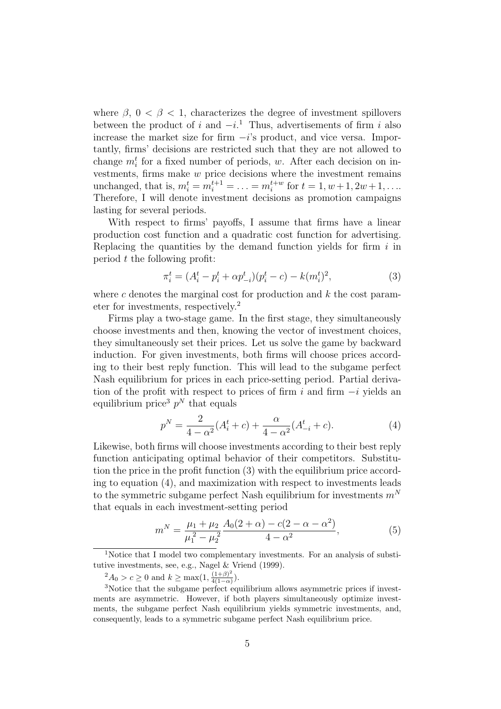where  $\beta$ ,  $0 < \beta < 1$ , characterizes the degree of investment spillovers between the product of i and  $-i$ .<sup>1</sup> Thus, advertisements of firm i also increase the market size for firm  $-i$ 's product, and vice versa. Importantly, firms' decisions are restricted such that they are not allowed to change  $m_i^t$  for a fixed number of periods, w. After each decision on investments, firms make  $w$  price decisions where the investment remains unchanged, that is,  $m_i^t = m_i^{t+1} = \ldots = m_i^{t+w}$  for  $t = 1, w + 1, 2w + 1, \ldots$ Therefore, I will denote investment decisions as promotion campaigns lasting for several periods.

With respect to firms' payoffs, I assume that firms have a linear production cost function and a quadratic cost function for advertising. Replacing the quantities by the demand function yields for firm  $i$  in period  $t$  the following profit:

$$
\pi_i^t = (A_i^t - p_i^t + \alpha p_{-i}^t)(p_i^t - c) - k(m_i^t)^2,\tag{3}
$$

where c denotes the marginal cost for production and  $k$  the cost parameter for investments, respectively.<sup>2</sup>

Firms play a two-stage game. In the first stage, they simultaneously choose investments and then, knowing the vector of investment choices, they simultaneously set their prices. Let us solve the game by backward induction. For given investments, both firms will choose prices according to their best reply function. This will lead to the subgame perfect Nash equilibrium for prices in each price-setting period. Partial derivation of the profit with respect to prices of firm i and firm  $-i$  yields an equilibrium price<sup>3</sup>  $p<sup>N</sup>$  that equals

$$
p^{N} = \frac{2}{4 - \alpha^{2}} (A_{i}^{t} + c) + \frac{\alpha}{4 - \alpha^{2}} (A_{-i}^{t} + c).
$$
 (4)

Likewise, both firms will choose investments according to their best reply function anticipating optimal behavior of their competitors. Substitution the price in the profit function (3) with the equilibrium price according to equation (4), and maximization with respect to investments leads to the symmetric subgame perfect Nash equilibrium for investments  $m<sup>N</sup>$ that equals in each investment-setting period

$$
m^N = \frac{\mu_1 + \mu_2}{\mu_1^2 - \mu_2^2} \frac{A_0(2+\alpha) - c(2-\alpha-\alpha^2)}{4-\alpha^2},
$$
\n(5)

 $^{2}A_{0} > c \geq 0$  and  $k \geq \max(1, \frac{(1+\beta)^{2}}{4(1-\alpha)})$  $\frac{(1+\beta)^2}{4(1-\alpha)}$ ).

<sup>&</sup>lt;sup>1</sup>Notice that I model two complementary investments. For an analysis of substitutive investments, see, e.g., Nagel & Vriend (1999).

<sup>&</sup>lt;sup>3</sup>Notice that the subgame perfect equilibrium allows asymmetric prices if investments are asymmetric. However, if both players simultaneously optimize investments, the subgame perfect Nash equilibrium yields symmetric investments, and, consequently, leads to a symmetric subgame perfect Nash equilibrium price.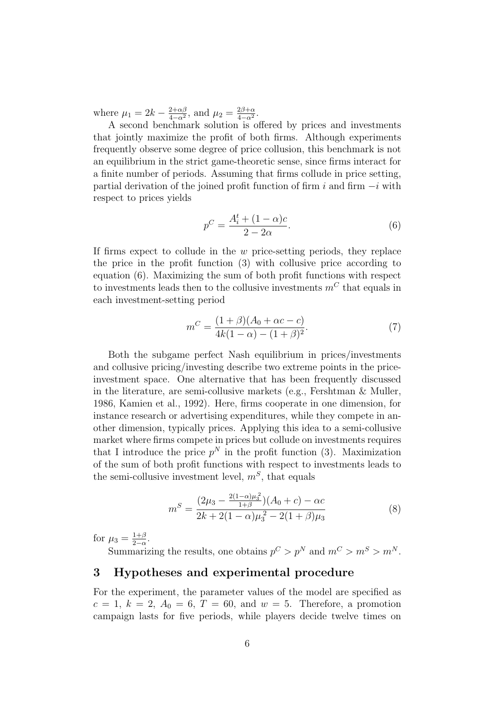where  $\mu_1 = 2k - \frac{2+\alpha\beta}{4-\alpha^2}$  $\frac{2+\alpha\beta}{4-\alpha^2}$ , and  $\mu_2 = \frac{2\beta+\alpha}{4-\alpha^2}$  $\frac{2\beta+\alpha}{4-\alpha^2}.$ 

A second benchmark solution is offered by prices and investments that jointly maximize the profit of both firms. Although experiments frequently observe some degree of price collusion, this benchmark is not an equilibrium in the strict game-theoretic sense, since firms interact for a finite number of periods. Assuming that firms collude in price setting, partial derivation of the joined profit function of firm i and firm  $-i$  with respect to prices yields

$$
p^C = \frac{A_i^t + (1 - \alpha)c}{2 - 2\alpha}.
$$
\n<sup>(6)</sup>

If firms expect to collude in the w price-setting periods, they replace the price in the profit function (3) with collusive price according to equation (6). Maximizing the sum of both profit functions with respect to investments leads then to the collusive investments  $m<sup>C</sup>$  that equals in each investment-setting period

$$
m^{C} = \frac{(1+\beta)(A_0 + \alpha c - c)}{4k(1-\alpha) - (1+\beta)^2}.
$$
 (7)

Both the subgame perfect Nash equilibrium in prices/investments and collusive pricing/investing describe two extreme points in the priceinvestment space. One alternative that has been frequently discussed in the literature, are semi-collusive markets (e.g., Fershtman & Muller, 1986, Kamien et al., 1992). Here, firms cooperate in one dimension, for instance research or advertising expenditures, while they compete in another dimension, typically prices. Applying this idea to a semi-collusive market where firms compete in prices but collude on investments requires that I introduce the price  $p^N$  in the profit function (3). Maximization of the sum of both profit functions with respect to investments leads to the semi-collusive investment level,  $m<sup>S</sup>$ , that equals

$$
m^{S} = \frac{(2\mu_{3} - \frac{2(1-\alpha)\mu_{3}^{2}}{1+\beta})(A_{0} + c) - \alpha c}{2k + 2(1-\alpha)\mu_{3}^{2} - 2(1+\beta)\mu_{3}}
$$
(8)

for  $\mu_3 = \frac{1+\beta}{2-\alpha}$  $\frac{1+\beta}{2-\alpha}$ .

Summarizing the results, one obtains  $p^C > p^N$  and  $m^C > m^S > m^N$ .

### 3 Hypotheses and experimental procedure

For the experiment, the parameter values of the model are specified as  $c = 1, k = 2, A_0 = 6, T = 60, \text{ and } w = 5.$  Therefore, a promotion campaign lasts for five periods, while players decide twelve times on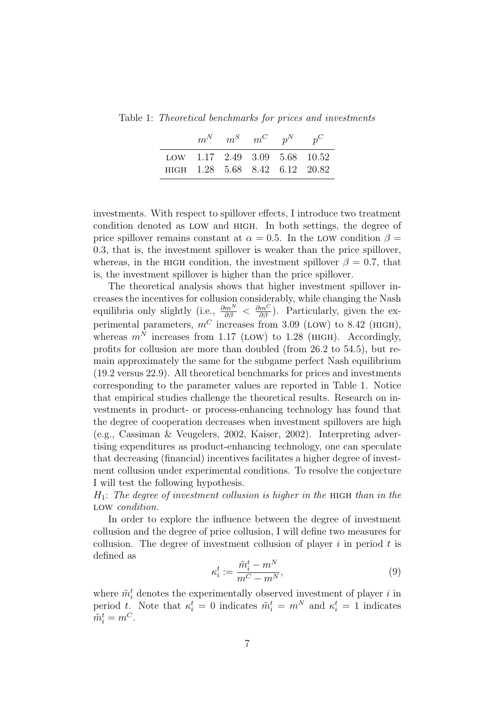Table 1: Theoretical benchmarks for prices and investments

|                                                                 | $m^N$ $m^S$ $m^C$ $p^N$ $p^C$ |  |  |
|-----------------------------------------------------------------|-------------------------------|--|--|
| LOW 1.17 2.49 3.09 5.68 10.52<br>HIGH 1.28 5.68 8.42 6.12 20.82 |                               |  |  |

investments. With respect to spillover effects, I introduce two treatment condition denoted as low and high. In both settings, the degree of price spillover remains constant at  $\alpha = 0.5$ . In the LOW condition  $\beta =$ 0.3, that is, the investment spillover is weaker than the price spillover, whereas, in the HIGH condition, the investment spillover  $\beta = 0.7$ , that is, the investment spillover is higher than the price spillover.

The theoretical analysis shows that higher investment spillover increases the incentives for collusion considerably, while changing the Nash equilibria only slightly (i.e.,  $\frac{\partial m^N}{\partial \beta} < \frac{\partial m^C}{\partial \beta}$ ). Particularly, given the experimental parameters,  $m^C$  increases from 3.09 (LOW) to 8.42 (HIGH), whereas  $m^N$  increases from 1.17 (LOW) to 1.28 (HIGH). Accordingly, profits for collusion are more than doubled (from 26.2 to 54.5), but remain approximately the same for the subgame perfect Nash equilibrium (19.2 versus 22.9). All theoretical benchmarks for prices and investments corresponding to the parameter values are reported in Table 1. Notice that empirical studies challenge the theoretical results. Research on investments in product- or process-enhancing technology has found that the degree of cooperation decreases when investment spillovers are high (e.g., Cassiman & Veugelers, 2002, Kaiser, 2002). Interpreting advertising expenditures as product-enhancing technology, one can speculate that decreasing (financial) incentives facilitates a higher degree of investment collusion under experimental conditions. To resolve the conjecture I will test the following hypothesis.

 $H_1$ : The degree of investment collusion is higher in the HIGH than in the LOW condition.

In order to explore the influence between the degree of investment collusion and the degree of price collusion, I will define two measures for collusion. The degree of investment collusion of player  $i$  in period  $t$  is defined as

$$
\kappa_i^t := \frac{\tilde{m}_i^t - m^N}{m^C - m^N},\tag{9}
$$

where  $\tilde{m}_i^t$  denotes the experimentally observed investment of player i in period t. Note that  $\kappa_i^t = 0$  indicates  $\tilde{m}_i^t = m^N$  and  $\kappa_i^t = 1$  indicates  $\tilde{m}_i^t = m^C.$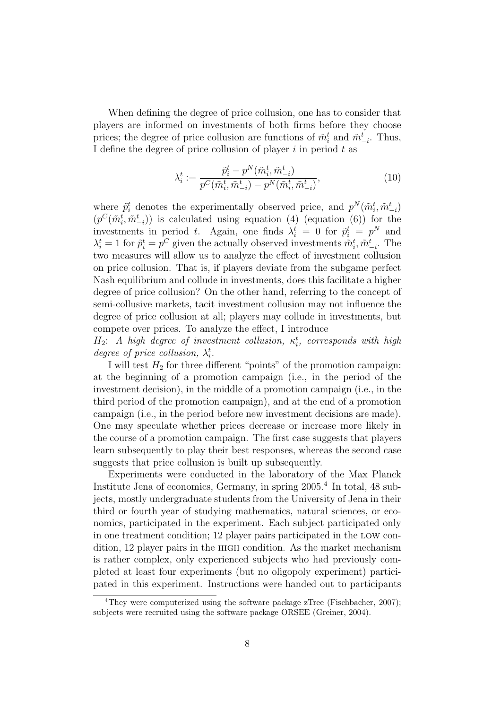When defining the degree of price collusion, one has to consider that players are informed on investments of both firms before they choose prices; the degree of price collusion are functions of  $\tilde{m}_i^t$  and  $\tilde{m}_{-i}^t$ . Thus, I define the degree of price collusion of player  $i$  in period  $t$  as

$$
\lambda_i^t := \frac{\tilde{p}_i^t - p^N(\tilde{m}_i^t, \tilde{m}_{-i}^t)}{p^C(\tilde{m}_i^t, \tilde{m}_{-i}^t) - p^N(\tilde{m}_i^t, \tilde{m}_{-i}^t)},
$$
\n(10)

where  $\tilde{p}_i^t$  denotes the experimentally observed price, and  $p^N(\tilde{m}_i^t, \tilde{m}_{-i}^t)$  $(p^C(\tilde{m}_i^t, \tilde{m}_{-i}^t))$  is calculated using equation (4) (equation (6)) for the investments in period t. Again, one finds  $\lambda_i^t = 0$  for  $\tilde{p}_i^t = p^N$  and  $\lambda_i^t = 1$  for  $\tilde{p}_i^t = p^C$  given the actually observed investments  $\tilde{m}_i^t, \tilde{m}_{-i}^t$ . The two measures will allow us to analyze the effect of investment collusion on price collusion. That is, if players deviate from the subgame perfect Nash equilibrium and collude in investments, does this facilitate a higher degree of price collusion? On the other hand, referring to the concept of semi-collusive markets, tacit investment collusion may not influence the degree of price collusion at all; players may collude in investments, but compete over prices. To analyze the effect, I introduce

 $H_2$ : A high degree of investment collusion,  $\kappa_i^t$ , corresponds with high degree of price collusion,  $\lambda_i^t$ .

I will test  $H_2$  for three different "points" of the promotion campaign: at the beginning of a promotion campaign (i.e., in the period of the investment decision), in the middle of a promotion campaign (i.e., in the third period of the promotion campaign), and at the end of a promotion campaign (i.e., in the period before new investment decisions are made). One may speculate whether prices decrease or increase more likely in the course of a promotion campaign. The first case suggests that players learn subsequently to play their best responses, whereas the second case suggests that price collusion is built up subsequently.

Experiments were conducted in the laboratory of the Max Planck Institute Jena of economics, Germany, in spring 2005.<sup>4</sup> In total, 48 subjects, mostly undergraduate students from the University of Jena in their third or fourth year of studying mathematics, natural sciences, or economics, participated in the experiment. Each subject participated only in one treatment condition; 12 player pairs participated in the low condition, 12 player pairs in the high condition. As the market mechanism is rather complex, only experienced subjects who had previously completed at least four experiments (but no oligopoly experiment) participated in this experiment. Instructions were handed out to participants

<sup>&</sup>lt;sup>4</sup>They were computerized using the software package zTree (Fischbacher, 2007); subjects were recruited using the software package ORSEE (Greiner, 2004).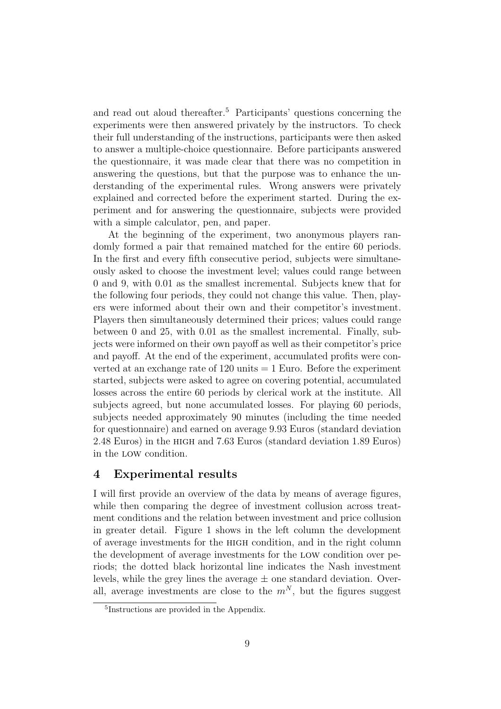and read out aloud thereafter.<sup>5</sup> Participants' questions concerning the experiments were then answered privately by the instructors. To check their full understanding of the instructions, participants were then asked to answer a multiple-choice questionnaire. Before participants answered the questionnaire, it was made clear that there was no competition in answering the questions, but that the purpose was to enhance the understanding of the experimental rules. Wrong answers were privately explained and corrected before the experiment started. During the experiment and for answering the questionnaire, subjects were provided with a simple calculator, pen, and paper.

At the beginning of the experiment, two anonymous players randomly formed a pair that remained matched for the entire 60 periods. In the first and every fifth consecutive period, subjects were simultaneously asked to choose the investment level; values could range between 0 and 9, with 0.01 as the smallest incremental. Subjects knew that for the following four periods, they could not change this value. Then, players were informed about their own and their competitor's investment. Players then simultaneously determined their prices; values could range between 0 and 25, with 0.01 as the smallest incremental. Finally, subjects were informed on their own payoff as well as their competitor's price and payoff. At the end of the experiment, accumulated profits were converted at an exchange rate of  $120 \text{ units} = 1 \text{ Euro}$ . Before the experiment started, subjects were asked to agree on covering potential, accumulated losses across the entire 60 periods by clerical work at the institute. All subjects agreed, but none accumulated losses. For playing 60 periods, subjects needed approximately 90 minutes (including the time needed for questionnaire) and earned on average 9.93 Euros (standard deviation 2.48 Euros) in the high and 7.63 Euros (standard deviation 1.89 Euros) in the low condition.

#### 4 Experimental results

I will first provide an overview of the data by means of average figures, while then comparing the degree of investment collusion across treatment conditions and the relation between investment and price collusion in greater detail. Figure 1 shows in the left column the development of average investments for the high condition, and in the right column the development of average investments for the low condition over periods; the dotted black horizontal line indicates the Nash investment levels, while the grey lines the average  $\pm$  one standard deviation. Overall, average investments are close to the  $m^N$ , but the figures suggest

<sup>5</sup> Instructions are provided in the Appendix.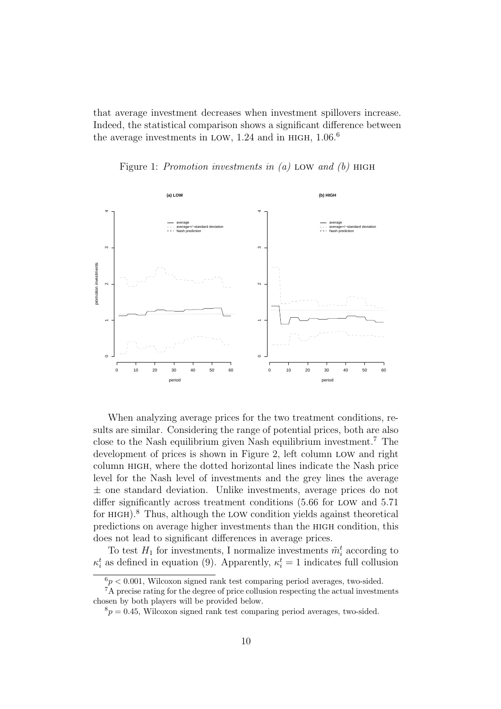that average investment decreases when investment spillovers increase. Indeed, the statistical comparison shows a significant difference between the average investments in LOW, 1.24 and in HIGH,  $1.06<sup>6</sup>$ 

Figure 1: Promotion investments in  $(a)$  LOW and  $(b)$  HIGH



When analyzing average prices for the two treatment conditions, results are similar. Considering the range of potential prices, both are also close to the Nash equilibrium given Nash equilibrium investment.<sup>7</sup> The development of prices is shown in Figure 2, left column low and right column high, where the dotted horizontal lines indicate the Nash price level for the Nash level of investments and the grey lines the average  $\pm$  one standard deviation. Unlike investments, average prices do not differ significantly across treatment conditions (5.66 for low and 5.71 for high).<sup>8</sup> Thus, although the low condition yields against theoretical predictions on average higher investments than the high condition, this does not lead to significant differences in average prices.

To test  $H_1$  for investments, I normalize investments  $\tilde{m}_i^t$  according to  $\kappa_i^t$  as defined in equation (9). Apparently,  $\kappa_i^t = 1$  indicates full collusion

 $6p < 0.001$ , Wilcoxon signed rank test comparing period averages, two-sided.

<sup>&</sup>lt;sup>7</sup>A precise rating for the degree of price collusion respecting the actual investments chosen by both players will be provided below.

 $8p = 0.45$ , Wilcoxon signed rank test comparing period averages, two-sided.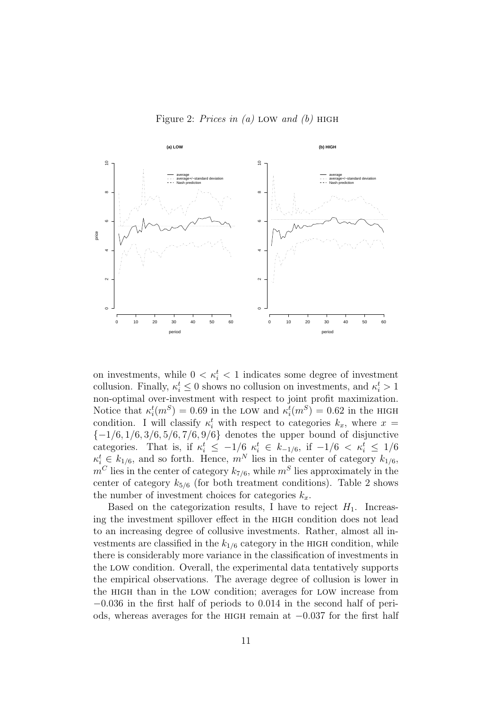Figure 2: Prices in (a) LOW and (b) HIGH



on investments, while  $0 < \kappa_i^t < 1$  indicates some degree of investment collusion. Finally,  $\kappa_i^t \leq 0$  shows no collusion on investments, and  $\kappa_i^t > 1$ non-optimal over-investment with respect to joint profit maximization. Notice that  $\kappa_i^t(m^S) = 0.69$  in the LOW and  $\kappa_i^t(m^S) = 0.62$  in the HIGH condition. I will classify  $\kappa_i^t$  with respect to categories  $k_x$ , where  $x =$  ${-1/6, 1/6, 3/6, 5/6, 7/6, 9/6}$  denotes the upper bound of disjunctive categories. That is, if  $\kappa_i^t \leq -1/6 \kappa_i^t \in k_{-1/6}$ , if  $-1/6 \leq \kappa_i^t \leq 1/6$  $\kappa_i^t \in k_{1/6}$ , and so forth. Hence,  $m^N$  lies in the center of category  $k_{1/6}$ ,  $m^C$  lies in the center of category  $k_{7/6}$ , while  $m^S$  lies approximately in the center of category  $k_{5/6}$  (for both treatment conditions). Table 2 shows the number of investment choices for categories  $k_x$ .

Based on the categorization results, I have to reject  $H_1$ . Increasing the investment spillover effect in the high condition does not lead to an increasing degree of collusive investments. Rather, almost all investments are classified in the  $k_{1/6}$  category in the HIGH condition, while there is considerably more variance in the classification of investments in the low condition. Overall, the experimental data tentatively supports the empirical observations. The average degree of collusion is lower in the high than in the low condition; averages for low increase from −0.036 in the first half of periods to 0.014 in the second half of periods, whereas averages for the high remain at −0.037 for the first half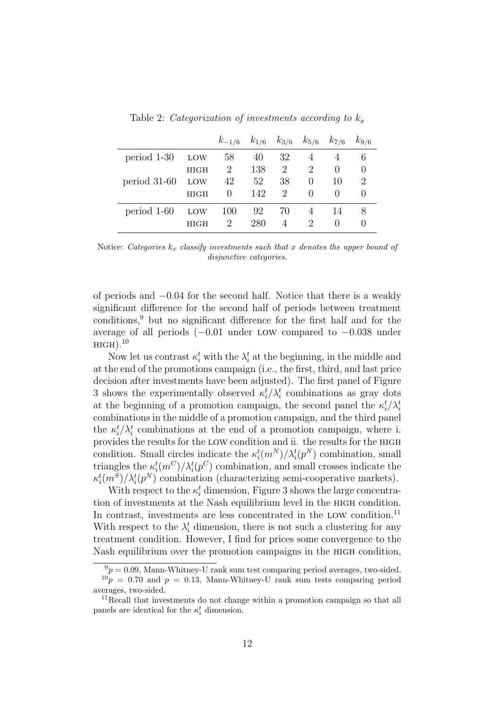|                 |             | $k_{-1/6}$ | $k_{1/6}$ $k_{3/6}$ $k_{5/6}$ $k_{7/6}$ |                             |                  |        | $k_{9/6}$ |
|-----------------|-------------|------------|-----------------------------------------|-----------------------------|------------------|--------|-----------|
| period 1-30     | LOW         | 58         | 40                                      | 32                          |                  |        | 6         |
|                 | <b>HIGH</b> | 2          | 138                                     | 2                           | 2                |        |           |
| $period\ 31-60$ | LOW         | 42         | 52                                      | 38                          | $\cup$           | 10     | 2         |
|                 | <b>HIGH</b> | $\theta$   | 142                                     | $\mathcal{D}_{\mathcal{L}}$ | $\left( \right)$ |        |           |
| period 1-60     | LOW         | 100        | 92                                      | 70                          |                  | 14     | 8         |
|                 | HIGH        | 2          | 280                                     |                             | $\mathcal{L}$    | $\cup$ |           |

Table 2: Categorization of investments according to  $k_x$ 

Notice: Categories  $k_x$  classify investments such that x denotes the upper bound of disjunctive categories.

of periods and −0.04 for the second half. Notice that there is a weakly significant difference for the second half of periods between treatment conditions,<sup>9</sup> but no significant difference for the first half and for the average of all periods (−0.01 under low compared to −0.038 under  $HIGH$ ).<sup>10</sup>

Now let us contrast  $\kappa_i^t$  with the  $\lambda_i^t$  at the beginning, in the middle and at the end of the promotions campaign (i.e., the first, third, and last price decision after investments have been adjusted). The first panel of Figure 3 shows the experimentally observed  $\kappa_i^t / \lambda_i^t$  combinations as gray dots at the beginning of a promotion campaign, the second panel the  $\kappa_i^t / \lambda_i^t$ combinations in the middle of a promotion campaign, and the third panel the  $\kappa_i^t / \lambda_i^t$  combinations at the end of a promotion campaign, where i. provides the results for the low condition and ii. the results for the high condition. Small circles indicate the  $\kappa_i^t(m^N)/\lambda_i^t(p^N)$  combination, small triangles the  $\kappa_i^t(m^C)/\lambda_i^t(p^C)$  combination, and small crosses indicate the  $\kappa_i^t(m^S)/\lambda_i^t(p^N)$  combination (characterizing semi-cooperative markets).

With respect to the  $\kappa_i^t$  dimension, Figure 3 shows the large concentration of investments at the Nash equilibrium level in the high condition. In contrast, investments are less concentrated in the LOW condition.<sup>11</sup> With respect to the  $\lambda_i^t$  dimension, there is not such a clustering for any treatment condition. However, I find for prices some convergence to the Nash equilibrium over the promotion campaigns in the high condition,

 $^{9}p = 0.09$ , Mann-Whitney-U rank sum test comparing period averages, two-sided.  $10p = 0.70$  and  $p = 0.13$ , Mann-Whitney-U rank sum tests comparing period averages, two-sided.

 $11$ Recall that investments do not change within a promotion campaign so that all panels are identical for the  $\kappa_i^t$  dimension.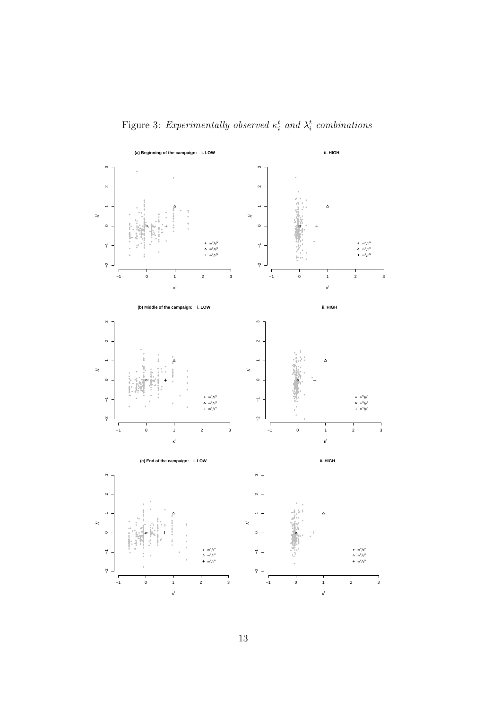Figure 3: Experimentally observed  $\kappa_i^t$  and  $\lambda_i^t$  combinations

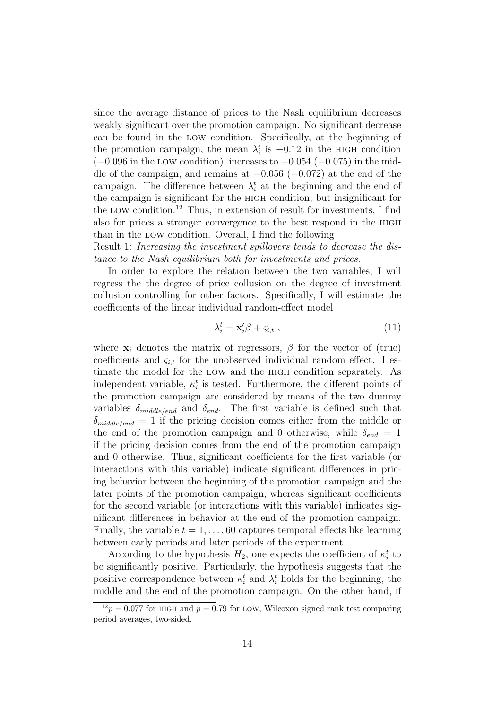since the average distance of prices to the Nash equilibrium decreases weakly significant over the promotion campaign. No significant decrease can be found in the low condition. Specifically, at the beginning of the promotion campaign, the mean  $\lambda_i^t$  is  $-0.12$  in the HIGH condition  $(-0.096$  in the LOW condition), increases to  $-0.054$  ( $-0.075$ ) in the middle of the campaign, and remains at −0.056 (−0.072) at the end of the campaign. The difference between  $\lambda_i^t$  at the beginning and the end of the campaign is significant for the high condition, but insignificant for the LOW condition.<sup>12</sup> Thus, in extension of result for investments, I find also for prices a stronger convergence to the best respond in the high than in the low condition. Overall, I find the following

Result 1: Increasing the investment spillovers tends to decrease the distance to the Nash equilibrium both for investments and prices.

In order to explore the relation between the two variables, I will regress the the degree of price collusion on the degree of investment collusion controlling for other factors. Specifically, I will estimate the coefficients of the linear individual random-effect model

$$
\lambda_i^t = \mathbf{x}_i' \boldsymbol{\beta} + \varsigma_{i,t} \tag{11}
$$

where  $\mathbf{x}_i$  denotes the matrix of regressors,  $\beta$  for the vector of (true) coefficients and  $\varsigma_{i,t}$  for the unobserved individual random effect. I estimate the model for the low and the high condition separately. As independent variable,  $\kappa_i^t$  is tested. Furthermore, the different points of the promotion campaign are considered by means of the two dummy variables  $\delta_{middle/end}$  and  $\delta_{end}$ . The first variable is defined such that  $\delta_{middle/end} = 1$  if the pricing decision comes either from the middle or the end of the promotion campaign and 0 otherwise, while  $\delta_{end} = 1$ if the pricing decision comes from the end of the promotion campaign and 0 otherwise. Thus, significant coefficients for the first variable (or interactions with this variable) indicate significant differences in pricing behavior between the beginning of the promotion campaign and the later points of the promotion campaign, whereas significant coefficients for the second variable (or interactions with this variable) indicates significant differences in behavior at the end of the promotion campaign. Finally, the variable  $t = 1, \ldots, 60$  captures temporal effects like learning between early periods and later periods of the experiment.

According to the hypothesis  $H_2$ , one expects the coefficient of  $\kappa_i^t$  to be significantly positive. Particularly, the hypothesis suggests that the positive correspondence between  $\kappa_i^t$  and  $\lambda_i^t$  holds for the beginning, the middle and the end of the promotion campaign. On the other hand, if

 $12p = 0.077$  for HIGH and  $p = 0.79$  for LOW, Wilcoxon signed rank test comparing period averages, two-sided.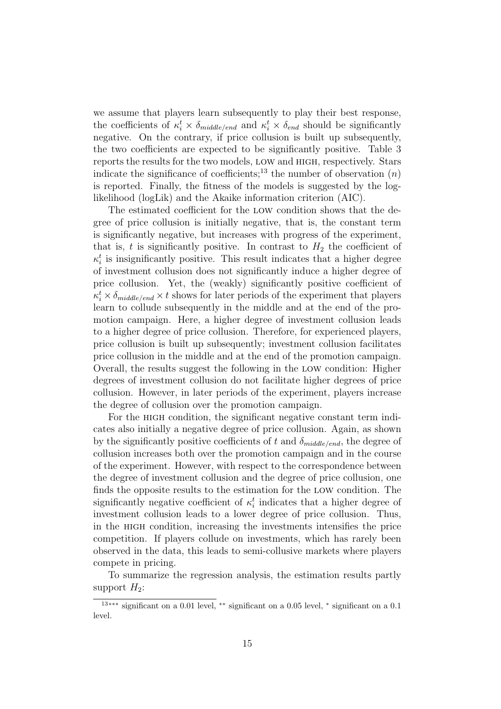we assume that players learn subsequently to play their best response, the coefficients of  $\kappa_i^t \times \delta_{middle/end}$  and  $\kappa_i^t \times \delta_{end}$  should be significantly negative. On the contrary, if price collusion is built up subsequently, the two coefficients are expected to be significantly positive. Table 3 reports the results for the two models, low and high, respectively. Stars indicate the significance of coefficients;<sup>13</sup> the number of observation  $(n)$ is reported. Finally, the fitness of the models is suggested by the loglikelihood (logLik) and the Akaike information criterion (AIC).

The estimated coefficient for the low condition shows that the degree of price collusion is initially negative, that is, the constant term is significantly negative, but increases with progress of the experiment, that is, t is significantly positive. In contrast to  $H_2$  the coefficient of  $\kappa_i^t$  is insignificantly positive. This result indicates that a higher degree of investment collusion does not significantly induce a higher degree of price collusion. Yet, the (weakly) significantly positive coefficient of  $\kappa_i^t \times \delta_{middle/end} \times t$  shows for later periods of the experiment that players learn to collude subsequently in the middle and at the end of the promotion campaign. Here, a higher degree of investment collusion leads to a higher degree of price collusion. Therefore, for experienced players, price collusion is built up subsequently; investment collusion facilitates price collusion in the middle and at the end of the promotion campaign. Overall, the results suggest the following in the low condition: Higher degrees of investment collusion do not facilitate higher degrees of price collusion. However, in later periods of the experiment, players increase the degree of collusion over the promotion campaign.

For the HIGH condition, the significant negative constant term indicates also initially a negative degree of price collusion. Again, as shown by the significantly positive coefficients of t and  $\delta_{middle/end}$ , the degree of collusion increases both over the promotion campaign and in the course of the experiment. However, with respect to the correspondence between the degree of investment collusion and the degree of price collusion, one finds the opposite results to the estimation for the low condition. The significantly negative coefficient of  $\kappa_i^t$  indicates that a higher degree of investment collusion leads to a lower degree of price collusion. Thus, in the high condition, increasing the investments intensifies the price competition. If players collude on investments, which has rarely been observed in the data, this leads to semi-collusive markets where players compete in pricing.

To summarize the regression analysis, the estimation results partly support  $H_2$ :

<sup>&</sup>lt;sup>13</sup><sup>∗∗∗</sup> significant on a 0.01 level, <sup>∗∗</sup> significant on a 0.05 level, <sup>∗</sup> significant on a 0.1 level.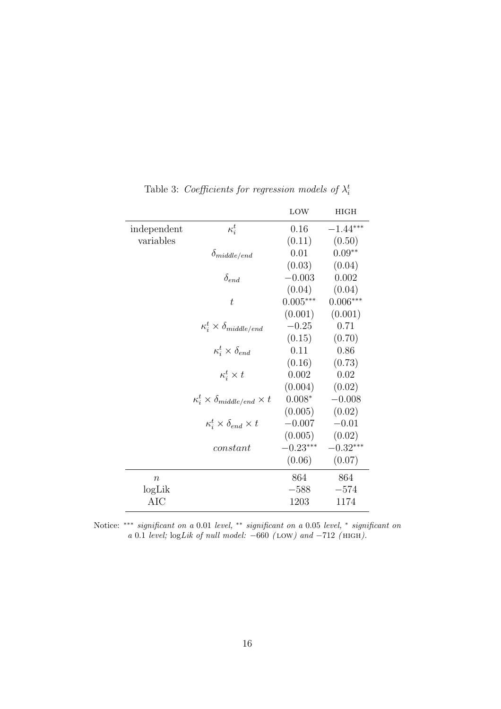|                   |                                                  | LOW        | <b>HIGH</b> |
|-------------------|--------------------------------------------------|------------|-------------|
| independent       | $\kappa_i^t$                                     | 0.16       | $-1.44***$  |
| variables         |                                                  | (0.11)     | (0.50)      |
|                   | $\delta_{middle/end}$                            | 0.01       | $0.09**$    |
|                   |                                                  | (0.03)     | (0.04)      |
|                   | $\delta_{end}$                                   | $-0.003$   | 0.002       |
|                   |                                                  | (0.04)     | (0.04)      |
|                   | $\bar{t}$                                        | $0.005***$ | $0.006***$  |
|                   |                                                  | (0.001)    | (0.001)     |
|                   | $\kappa_i^t \times \delta_{middle/end}$          | $-0.25$    | 0.71        |
|                   |                                                  | (0.15)     | (0.70)      |
|                   | $\kappa_i^t \times \delta_{end}$                 | 0.11       | 0.86        |
|                   |                                                  | (0.16)     | (0.73)      |
|                   | $\kappa_i^t \times t$                            | 0.002      | 0.02        |
|                   |                                                  | (0.004)    | (0.02)      |
|                   | $\kappa_i^t \times \delta_{middle/end} \times t$ | $0.008*$   | $-0.008$    |
|                   |                                                  | (0.005)    | (0.02)      |
|                   | $\kappa_i^t \times \delta_{end} \times t$        | $-0.007$   | $-0.01$     |
|                   |                                                  | (0.005)    | (0.02)      |
|                   | constant                                         | $-0.23***$ | $-0.32***$  |
|                   |                                                  | (0.06)     | (0.07)      |
| $\boldsymbol{n}$  |                                                  | 864        | 864         |
| log <sub>Li</sub> |                                                  | $-588$     | $-574$      |
| <b>AIC</b>        |                                                  | 1203       | 1174        |

Table 3: Coefficients for regression models of  $\lambda_i^t$ 

Notice: \*\*\* significant on a 0.01 level, \*\* significant on a 0.05 level, \* significant on a 0.1 level;  $logLik$  of null model:  $-660$  (LOW) and  $-712$  (HIGH).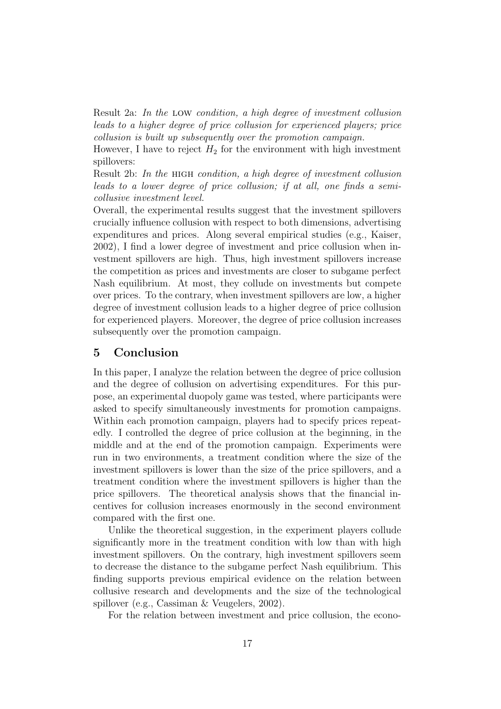Result 2a: In the low condition, a high degree of investment collusion leads to a higher degree of price collusion for experienced players; price collusion is built up subsequently over the promotion campaign.

However, I have to reject  $H_2$  for the environment with high investment spillovers:

Result 2b: In the HIGH condition, a high degree of investment collusion leads to a lower degree of price collusion; if at all, one finds a semicollusive investment level.

Overall, the experimental results suggest that the investment spillovers crucially influence collusion with respect to both dimensions, advertising expenditures and prices. Along several empirical studies (e.g., Kaiser, 2002), I find a lower degree of investment and price collusion when investment spillovers are high. Thus, high investment spillovers increase the competition as prices and investments are closer to subgame perfect Nash equilibrium. At most, they collude on investments but compete over prices. To the contrary, when investment spillovers are low, a higher degree of investment collusion leads to a higher degree of price collusion for experienced players. Moreover, the degree of price collusion increases subsequently over the promotion campaign.

#### 5 Conclusion

In this paper, I analyze the relation between the degree of price collusion and the degree of collusion on advertising expenditures. For this purpose, an experimental duopoly game was tested, where participants were asked to specify simultaneously investments for promotion campaigns. Within each promotion campaign, players had to specify prices repeatedly. I controlled the degree of price collusion at the beginning, in the middle and at the end of the promotion campaign. Experiments were run in two environments, a treatment condition where the size of the investment spillovers is lower than the size of the price spillovers, and a treatment condition where the investment spillovers is higher than the price spillovers. The theoretical analysis shows that the financial incentives for collusion increases enormously in the second environment compared with the first one.

Unlike the theoretical suggestion, in the experiment players collude significantly more in the treatment condition with low than with high investment spillovers. On the contrary, high investment spillovers seem to decrease the distance to the subgame perfect Nash equilibrium. This finding supports previous empirical evidence on the relation between collusive research and developments and the size of the technological spillover (e.g., Cassiman & Veugelers, 2002).

For the relation between investment and price collusion, the econo-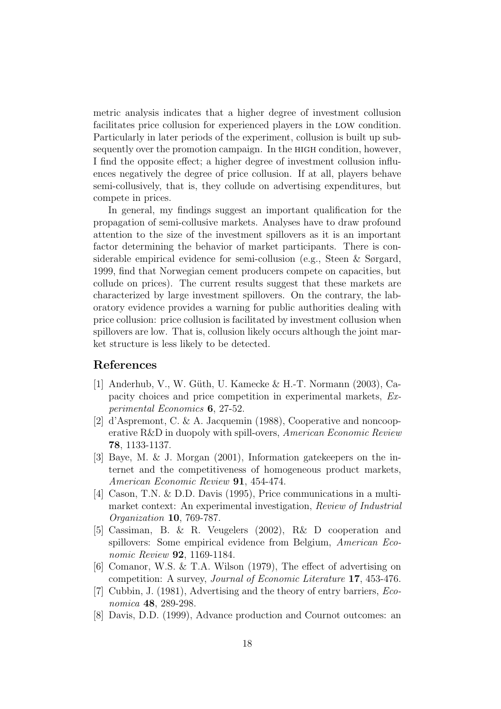metric analysis indicates that a higher degree of investment collusion facilitates price collusion for experienced players in the low condition. Particularly in later periods of the experiment, collusion is built up subsequently over the promotion campaign. In the high condition, however, I find the opposite effect; a higher degree of investment collusion influences negatively the degree of price collusion. If at all, players behave semi-collusively, that is, they collude on advertising expenditures, but compete in prices.

In general, my findings suggest an important qualification for the propagation of semi-collusive markets. Analyses have to draw profound attention to the size of the investment spillovers as it is an important factor determining the behavior of market participants. There is considerable empirical evidence for semi-collusion (e.g., Steen & Sørgard, 1999, find that Norwegian cement producers compete on capacities, but collude on prices). The current results suggest that these markets are characterized by large investment spillovers. On the contrary, the laboratory evidence provides a warning for public authorities dealing with price collusion: price collusion is facilitated by investment collusion when spillovers are low. That is, collusion likely occurs although the joint market structure is less likely to be detected.

### References

- [1] Anderhub, V., W. G¨uth, U. Kamecke & H.-T. Normann (2003), Capacity choices and price competition in experimental markets, Experimental Economics 6, 27-52.
- [2] d'Aspremont, C. & A. Jacquemin (1988), Cooperative and noncooperative R&D in duopoly with spill-overs, American Economic Review 78, 1133-1137.
- [3] Baye, M. & J. Morgan (2001), Information gatekeepers on the internet and the competitiveness of homogeneous product markets, American Economic Review 91, 454-474.
- [4] Cason, T.N. & D.D. Davis (1995), Price communications in a multimarket context: An experimental investigation, Review of Industrial Organization 10, 769-787.
- [5] Cassiman, B. & R. Veugelers (2002), R& D cooperation and spillovers: Some empirical evidence from Belgium, American Economic Review **92**, 1169-1184.
- [6] Comanor, W.S. & T.A. Wilson (1979), The effect of advertising on competition: A survey, Journal of Economic Literature 17, 453-476.
- [7] Cubbin, J. (1981), Advertising and the theory of entry barriers, Economica 48, 289-298.
- [8] Davis, D.D. (1999), Advance production and Cournot outcomes: an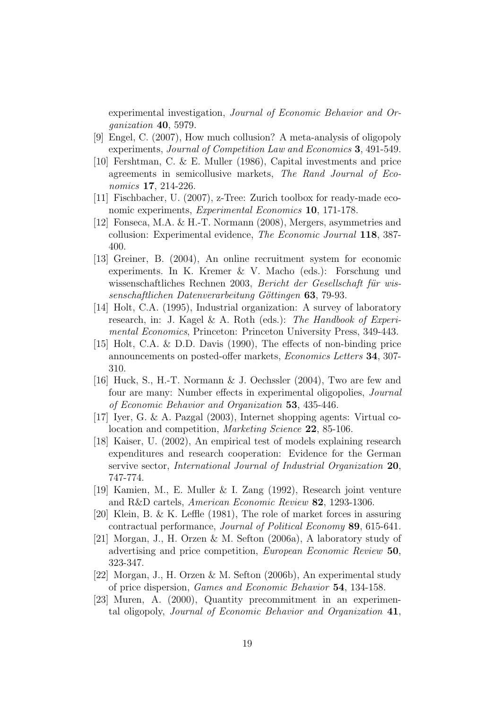experimental investigation, Journal of Economic Behavior and Organization 40, 5979.

- [9] Engel, C. (2007), How much collusion? A meta-analysis of oligopoly experiments, Journal of Competition Law and Economics 3, 491-549.
- [10] Fershtman, C. & E. Muller (1986), Capital investments and price agreements in semicollusive markets, The Rand Journal of Economics **17**, 214-226.
- [11] Fischbacher, U. (2007), z-Tree: Zurich toolbox for ready-made economic experiments, Experimental Economics 10, 171-178.
- [12] Fonseca, M.A. & H.-T. Normann (2008), Mergers, asymmetries and collusion: Experimental evidence, The Economic Journal 118, 387- 400.
- [13] Greiner, B. (2004), An online recruitment system for economic experiments. In K. Kremer & V. Macho (eds.): Forschung und wissenschaftliches Rechnen 2003, Bericht der Gesellschaft für wissenschaftlichen Datenverarbeitung Göttingen 63, 79-93.
- [14] Holt, C.A. (1995), Industrial organization: A survey of laboratory research, in: J. Kagel & A. Roth (eds.): The Handbook of Experimental Economics, Princeton: Princeton University Press, 349-443.
- [15] Holt, C.A. & D.D. Davis (1990), The effects of non-binding price announcements on posted-offer markets, Economics Letters 34, 307- 310.
- [16] Huck, S., H.-T. Normann & J. Oechssler (2004), Two are few and four are many: Number effects in experimental oligopolies, Journal of Economic Behavior and Organization 53, 435-446.
- [17] Iyer, G. & A. Pazgal (2003), Internet shopping agents: Virtual colocation and competition, Marketing Science 22, 85-106.
- [18] Kaiser, U. (2002), An empirical test of models explaining research expenditures and research cooperation: Evidence for the German servive sector, International Journal of Industrial Organization 20, 747-774.
- [19] Kamien, M., E. Muller & I. Zang (1992), Research joint venture and R&D cartels, American Economic Review 82, 1293-1306.
- [20] Klein, B. & K. Leffle (1981), The role of market forces in assuring contractual performance, Journal of Political Economy 89, 615-641.
- [21] Morgan, J., H. Orzen & M. Sefton (2006a), A laboratory study of advertising and price competition, European Economic Review 50, 323-347.
- [22] Morgan, J., H. Orzen & M. Sefton (2006b), An experimental study of price dispersion, Games and Economic Behavior 54, 134-158.
- [23] Muren, A. (2000), Quantity precommitment in an experimental oligopoly, Journal of Economic Behavior and Organization 41,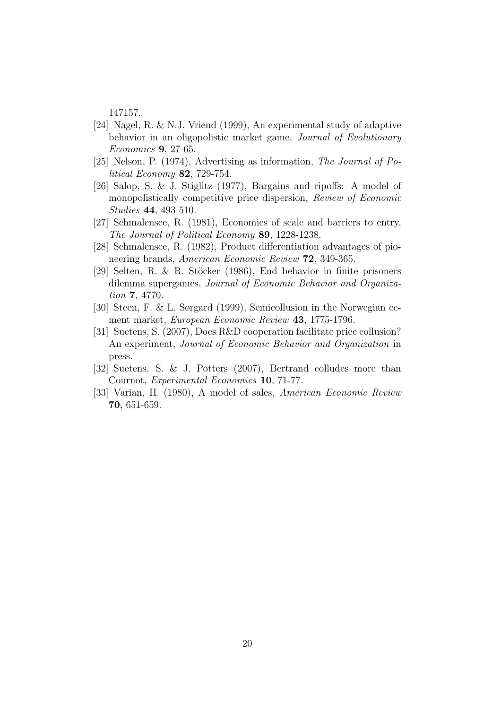147157.

- [24] Nagel, R. & N.J. Vriend (1999), An experimental study of adaptive behavior in an oligopolistic market game, Journal of Evolutionary Economics 9, 27-65.
- [25] Nelson, P. (1974), Advertising as information, The Journal of Political Economy 82, 729-754.
- [26] Salop, S. & J. Stiglitz (1977), Bargains and ripoffs: A model of monopolistically competitive price dispersion, Review of Economic Studies 44, 493-510.
- [27] Schmalensee, R. (1981), Economies of scale and barriers to entry, The Journal of Political Economy 89, 1228-1238.
- [28] Schmalensee, R. (1982), Product differentiation advantages of pioneering brands, American Economic Review 72, 349-365.
- [29] Selten, R. & R. Stöcker (1986), End behavior in finite prisoners dilemma supergames, Journal of Economic Behavior and Organization 7, 4770.
- [30] Steen, F. & L. Sørgard (1999), Semicollusion in the Norwegian cement market, European Economic Review 43, 1775-1796.
- [31] Suetens, S. (2007), Does R&D cooperation facilitate price collusion? An experiment, Journal of Economic Behavior and Organization in press.
- [32] Suetens, S. & J. Potters (2007), Bertrand colludes more than Cournot, Experimental Economics 10, 71-77.
- [33] Varian, H. (1980), A model of sales, American Economic Review 70, 651-659.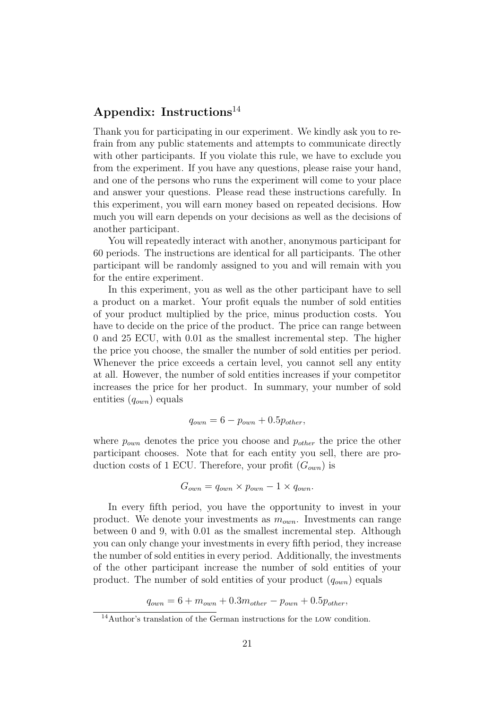## Appendix: Instructions<sup>14</sup>

Thank you for participating in our experiment. We kindly ask you to refrain from any public statements and attempts to communicate directly with other participants. If you violate this rule, we have to exclude you from the experiment. If you have any questions, please raise your hand, and one of the persons who runs the experiment will come to your place and answer your questions. Please read these instructions carefully. In this experiment, you will earn money based on repeated decisions. How much you will earn depends on your decisions as well as the decisions of another participant.

You will repeatedly interact with another, anonymous participant for 60 periods. The instructions are identical for all participants. The other participant will be randomly assigned to you and will remain with you for the entire experiment.

In this experiment, you as well as the other participant have to sell a product on a market. Your profit equals the number of sold entities of your product multiplied by the price, minus production costs. You have to decide on the price of the product. The price can range between 0 and 25 ECU, with 0.01 as the smallest incremental step. The higher the price you choose, the smaller the number of sold entities per period. Whenever the price exceeds a certain level, you cannot sell any entity at all. However, the number of sold entities increases if your competitor increases the price for her product. In summary, your number of sold entities  $(q_{own})$  equals

$$
q_{own} = 6 - p_{own} + 0.5p_{other},
$$

where  $p_{own}$  denotes the price you choose and  $p_{other}$  the price the other participant chooses. Note that for each entity you sell, there are production costs of 1 ECU. Therefore, your profit  $(G_{own})$  is

$$
G_{own} = q_{own} \times p_{own} - 1 \times q_{own}.
$$

In every fifth period, you have the opportunity to invest in your product. We denote your investments as  $m_{own}$ . Investments can range between 0 and 9, with 0.01 as the smallest incremental step. Although you can only change your investments in every fifth period, they increase the number of sold entities in every period. Additionally, the investments of the other participant increase the number of sold entities of your product. The number of sold entities of your product  $(q_{own})$  equals

 $q_{own} = 6 + m_{own} + 0.3m_{other} - p_{own} + 0.5p_{other},$ 

<sup>14</sup>Author's translation of the German instructions for the low condition.